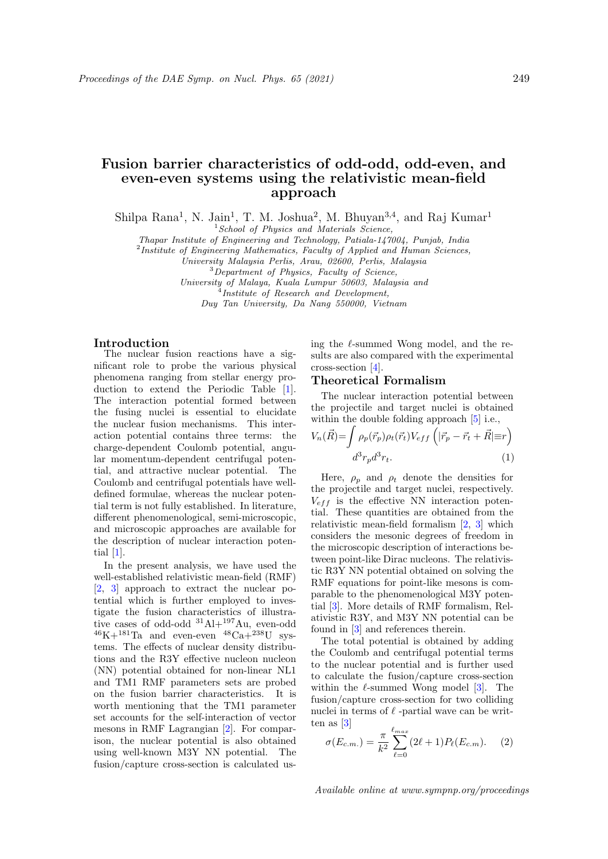# Fusion barrier characteristics of odd-odd, odd-even, and even-even systems using the relativistic mean-field approach

Shilpa Rana<sup>1</sup>, N. Jain<sup>1</sup>, T. M. Joshua<sup>2</sup>, M. Bhuyan<sup>3,4</sup>, and Raj Kumar<sup>1</sup>

 $1$ School of Physics and Materials Science,

Thapar Institute of Engineering and Technology, Patiala-147004, Punjab, India

<sup>2</sup>Institute of Engineering Mathematics, Faculty of Applied and Human Sciences,

University Malaysia Perlis, Arau, 02600, Perlis, Malaysia

<sup>3</sup>Department of Physics, Faculty of Science,

University of Malaya, Kuala Lumpur 50603, Malaysia and

<sup>4</sup>Institute of Research and Development,

Duy Tan University, Da Nang 550000, Vietnam

## Introduction

The nuclear fusion reactions have a significant role to probe the various physical phenomena ranging from stellar energy production to extend the Periodic Table [1]. The interaction potential formed between the fusing nuclei is essential to elucidate the nuclear fusion mechanisms. This interaction potential contains three terms: the charge-dependent Coulomb potential, angular momentum-dependent centrifugal potential, and attractive nuclear potential. The Coulomb and centrifugal potentials have welldefined formulae, whereas the nuclear potential term is not fully established. In literature, different phenomenological, semi-microscopic, and microscopic approaches are available for the description of nuclear interaction potential [1].

In the present analysis, we have used the well-established relativistic mean-field (RMF) [2, 3] approach to extract the nuclear potential which is further employed to investigate the fusion characteristics of illustrative cases of odd-odd  $31\text{Al}+197\text{Au}$ , even-odd  $^{46}$ K $+^{181}$ Ta and even-even  $^{48}$ Ca $+^{238}$ U systems. The effects of nuclear density distributions and the R3Y effective nucleon nucleon (NN) potential obtained for non-linear NL1 and TM1 RMF parameters sets are probed on the fusion barrier characteristics. It is worth mentioning that the TM1 parameter set accounts for the self-interaction of vector mesons in RMF Lagrangian [2]. For comparison, the nuclear potential is also obtained using well-known M3Y NN potential. The fusion/capture cross-section is calculated using the  $\ell$ -summed Wong model, and the results are also compared with the experimental cross-section [4].

## Theoretical Formalism

The nuclear interaction potential between the projectile and target nuclei is obtained within the double folding approach  $[5]$  i.e.,

$$
V_n(\vec{R}) = \int \rho_p(\vec{r}_p)\rho_t(\vec{r}_t)V_{eff} \left( |\vec{r}_p - \vec{r}_t + \vec{R}| \equiv r \right)
$$
  

$$
d^3r_p d^3r_t.
$$
 (1)

Here,  $\rho_n$  and  $\rho_t$  denote the densities for the projectile and target nuclei, respectively.  $V_{eff}$  is the effective NN interaction potential. These quantities are obtained from the relativistic mean-field formalism [2, 3] which considers the mesonic degrees of freedom in the microscopic description of interactions between point-like Dirac nucleons. The relativistic R3Y NN potential obtained on solving the RMF equations for point-like mesons is comparable to the phenomenological M3Y potential [3]. More details of RMF formalism, Relativistic R3Y, and M3Y NN potential can be found in [3] and references therein.

The total potential is obtained by adding the Coulomb and centrifugal potential terms to the nuclear potential and is further used to calculate the fusion/capture cross-section within the  $\ell$ -summed Wong model [3]. The fusion/capture cross-section for two colliding nuclei in terms of  $\ell$  -partial wave can be written as [3]

$$
\sigma(E_{c.m.}) = \frac{\pi}{k^2} \sum_{\ell=0}^{\ell_{max}} (2\ell+1) P_{\ell}(E_{c.m}). \quad (2)
$$

Available online at www.sympnp.org/proceedings